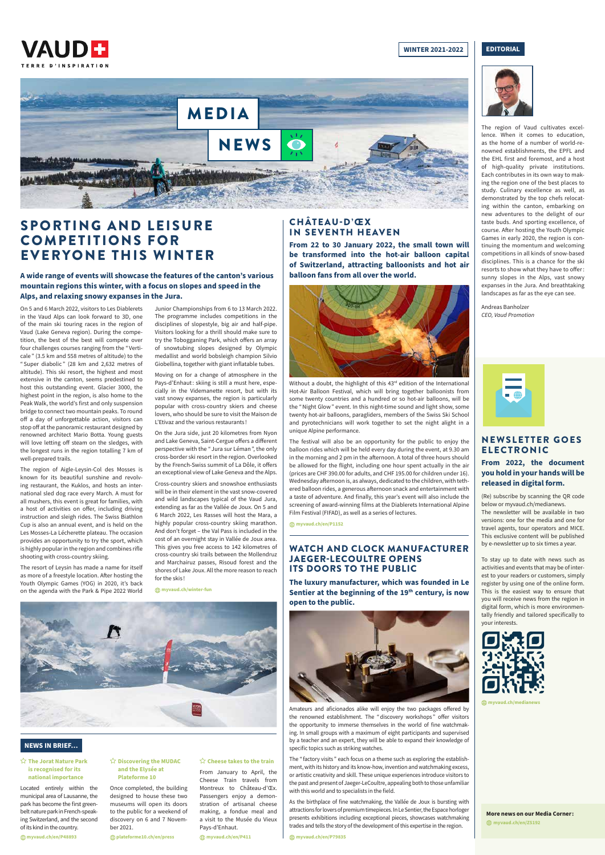

#### **WINTER 2021-2022 | | EDITORIAL**



## CHÂTEAU-D'ŒX IN SEVENTH HEAVEN

**From 22 to 30 January 2022, the small town will be transformed into the hot-air balloon capital of Switzerland, attracting balloonists and hot air balloon fans from all over the world.** 



Without a doubt, the highlight of this 43rd edition of the International Hot-Air Balloon Festival, which will bring together balloonists from some twenty countries and a hundred or so hot-air balloons, will be the "Night Glow" event. In this night-time sound and light show, some twenty hot-air balloons, paragliders, members of the Swiss Ski School and pyrotechnicians will work together to set the night alight in a unique Alpine performance.

The festival will also be an opportunity for the public to enjoy the balloon rides which will be held every day during the event, at 9.30 am in the morning and 2 pm in the afternoon. A total of three hours should be allowed for the flight, including one hour spent actually in the air (prices are CHF 390.00 for adults, and CHF 195.00 for children under 16). Wednesday afternoon is, as always, dedicated to the children, with tethered balloon rides, a generous afternoon snack and entertainment with a taste of adventure. And finally, this year's event will also include the screening of award-winning films at the Diablerets International Alpine Film Festival (FIFAD), as well as a series of lectures.

**myvaud.ch/en/P1152**

The "factory visits" each focus on a theme such as exploring the establishment, with its history and its know-how, invention and watchmaking excess, or artistic creativity and skill. These unique experiences introduce visitors to the past and present of Jaeger-LeCoultre, appealing both to those unfamiliar with this world and to specialists in the field.

The region of Vaud cultivates excellence. When it comes to education, as the home of a number of world-renowned establishments, the EPFL and the EHL first and foremost, and a host of high-quality private institutions. Each contributes in its own way to making the region one of the best places to study. Culinary excellence as well, as demonstrated by the top chefs relocating within the canton, embarking on new adventures to the delight of our taste buds. And sporting excellence, of course. After hosting the Youth Olympic Games in early 2020, the region is continuing the momentum and welcoming competitions in all kinds of snow-based disciplines. This is a chance for the ski resorts to show what they have to offer: sunny slopes in the Alps, vast snowy expanses in the Jura. And breathtaking landscapes as far as the eye can see.

Andreas Banholzer *CEO, Vaud Promotion*



## WATCH AND CLOCK MANUFACTURER JAEGER-LECOULTRE OPENS ITS DOORS TO THE PUBLIC

**The luxury manufacturer, which was founded in Le**  Sentier at the beginning of the 19<sup>th</sup> century, is now **open to the public.**



Amateurs and aficionados alike will enjoy the two packages offered by the renowned establishment. The "discovery workshops " offer visitors the opportunity to immerse themselves in the world of fine watchmaking. In small groups with a maximum of eight participants and supervised by a teacher and an expert, they will be able to expand their knowledge of specific topics such as striking watches.

As the birthplace of fine watchmaking, the Vallée de Joux is bursting with attractions for lovers of premium timepieces. In Le Sentier, the Espace horloger presents exhibitions including exceptional pieces, showcases watchmaking trades and tells the story of the development of this expertise in the region.

**myvaud.ch/en/P79835**

#### **The Jorat Nature Park is recognised for its national importance**

Located entirely within the municipal area of Lausanne, the park has become the first greenbelt nature park in French-speaking Switzerland, and the second of its kind in the country.

#### **myvaud.ch/en/P48893**

#### **Discovering the MUDAC and the Elysée at Plateforme 10**

## **NEWSLETTER GOES** ELECTRONIC

Once completed, the building designed to house these two museums will open its doors to the public for a weekend of discovery on 6 and 7 November 2021.

 **plateforme10.ch/en/press**

#### **Cheese takes to the train**

From January to April, the Cheese Train travels from Montreux to Château-d'Œx. Passengers enjoy a demonstration of artisanal cheese making, a fondue meal and a visit to the Musée du Vieux Pays-d'Enhaut.

**myvaud.ch/en/P411**

# SPORTING AND LEISURE COMPETITIONS FOR EVERYONE THIS WINTER

## **A wide range of events will showcase the features of the canton's various mountain regions this winter, with a focus on slopes and speed in the Alps, and relaxing snowy expanses in the Jura.**

On 5 and 6 March 2022, visitors to Les Diablerets in the Vaud Alps can look forward to 3D, one of the main ski touring races in the region of Vaud (Lake Geneva region). During the competition, the best of the best will compete over four challenges courses ranging from the "Verticale " (3.5 km and 558 metres of altitude) to the "Super diabolic " (28 km and 2,632 metres of altitude). This ski resort, the highest and most extensive in the canton, seems predestined to host this outstanding event. Glacier 3000, the highest point in the region, is also home to the Peak Walk, the world's first and only suspension bridge to connect two mountain peaks. To round off a day of unforgettable action, visitors can stop off at the panoramic restaurant designed by renowned architect Mario Botta. Young guests will love letting off steam on the sledges, with the longest runs in the region totalling 7 km of well-prepared trails.

The region of Aigle-Leysin-Col des Mosses is known for its beautiful sunshine and revolving restaurant, the Kuklos, and hosts an international sled dog race every March. A must for all mushers, this event is great for families, with a host of activities on offer, including driving instruction and sleigh rides. The Swiss Biathlon Cup is also an annual event, and is held on the Les Mosses-La Lécherette plateau. The occasion provides an opportunity to try the sport, which is highly popular in the region and combines rifle shooting with cross-country skiing.

The resort of Leysin has made a name for itself as more of a freestyle location. After hosting the Youth Olympic Games (YOG) in 2020, it's back on the agenda with the Park & Pipe 2022 World

Junior Championships from 6 to 13 March 2022. The programme includes competitions in the disciplines of slopestyle, big air and half-pipe. Visitors looking for a thrill should make sure to try the Tobogganing Park, which offers an array of snowtubing slopes designed by Olympic medallist and world bobsleigh champion Silvio Giobellina, together with giant inflatable tubes.

Moving on for a change of atmosphere in the Pays-d'Enhaut: skiing is still a must here, especially in the Videmanette resort, but with its vast snowy expanses, the region is particularly popular with cross-country skiers and cheese lovers, who should be sure to visit the Maison de L'Etivaz and the various restaurants !

On the Jura side, just 20 kilometres from Nyon and Lake Geneva, Saint-Cergue offers a different perspective with the " Jura sur Léman", the only cross-border ski resort in the region. Overlooked by the French-Swiss summit of La Dôle, it offers an exceptional view of Lake Geneva and the Alps.

Cross-country skiers and snowshoe enthusiasts will be in their element in the vast snow-covered and wild landscapes typical of the Vaud Jura, extending as far as the Vallée de Joux. On 5 and 6 March 2022, Les Rasses will host the Mara, a highly popular cross-country skiing marathon. And don't forget – the Val Pass is included in the cost of an overnight stay in Vallée de Joux area. This gives you free access to 142 kilometres of cross-country ski trails between the Mollendruz and Marchairuz passes, Risoud forest and the shores of Lake Joux. All the more reason to reach for the skis !

**myvaud.ch/winter-fun**





#### **NEWS IN BRIEF…**

## **From 2022, the document you hold in your hands will be released in digital form.**

(Re) subscribe by scanning the QR code below or myvaud.ch/medianews. The newsletter will be available in two versions: one for the media and one for travel agents, tour operators and MICE. This exclusive content will be published by e-newsletter up to six times a year.

To stay up to date with news such as activities and events that may be of interest to your readers or customers, simply register by using one of the online form. This is the easiest way to ensure that you will receive news from the region in digital form, which is more environmentally friendly and tailored specifically to your interests.



**myvaud.ch/medianews**

#### **More news on our Media Corner : myvaud.ch/en/Z5192**